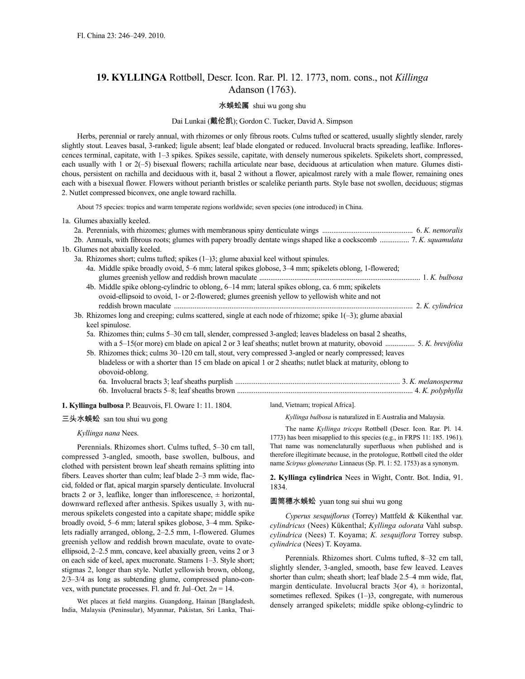# **19. KYLLINGA** Rottbøll, Descr. Icon. Rar. Pl. 12. 1773, nom. cons., not *Killinga* Adanson (1763).

### 水蜈蚣属 shui wu gong shu

## Dai Lunkai (戴伦凯); Gordon C. Tucker, David A. Simpson

Herbs, perennial or rarely annual, with rhizomes or only fibrous roots. Culms tufted or scattered, usually slightly slender, rarely slightly stout. Leaves basal, 3-ranked; ligule absent; leaf blade elongated or reduced. Involucral bracts spreading, leaflike. Inflorescences terminal, capitate, with 1–3 spikes. Spikes sessile, capitate, with densely numerous spikelets. Spikelets short, compressed, each usually with 1 or 2(-5) bisexual flowers; rachilla articulate near base, deciduous at articulation when mature. Glumes distichous, persistent on rachilla and deciduous with it, basal 2 without a flower, apicalmost rarely with a male flower, remaining ones each with a bisexual flower. Flowers without perianth bristles or scalelike perianth parts. Style base not swollen, deciduous; stigmas 2. Nutlet compressed biconvex, one angle toward rachilla.

About 75 species: tropics and warm temperate regions worldwide; seven species (one introduced) in China.

|  | 1a. Glumes abaxially keeled.                                                                                                                                                                                                            |  |
|--|-----------------------------------------------------------------------------------------------------------------------------------------------------------------------------------------------------------------------------------------|--|
|  |                                                                                                                                                                                                                                         |  |
|  |                                                                                                                                                                                                                                         |  |
|  | 1b. Glumes not abaxially keeled.                                                                                                                                                                                                        |  |
|  | 3a. Rhizomes short; culms tufted; spikes $(1-3)$ ; glume abaxial keel without spinules.                                                                                                                                                 |  |
|  | 4a. Middle spike broadly ovoid, 5–6 mm; lateral spikes globose, 3–4 mm; spikelets oblong, 1-flowered;                                                                                                                                   |  |
|  | 4b. Middle spike oblong-cylindric to oblong, 6-14 mm; lateral spikes oblong, ca. 6 mm; spikelets<br>ovoid-ellipsoid to ovoid, 1- or 2-flowered; glumes greenish yellow to yellowish white and not                                       |  |
|  |                                                                                                                                                                                                                                         |  |
|  | 3b. Rhizomes long and creeping; culms scattered, single at each node of rhizome; spike $1(-3)$ ; glume abaxial<br>keel spinulose.                                                                                                       |  |
|  | 5a. Rhizomes thin; culms 5–30 cm tall, slender, compressed 3-angled; leaves bladeless on basal 2 sheaths,                                                                                                                               |  |
|  | 5b. Rhizomes thick; culms 30–120 cm tall, stout, very compressed 3-angled or nearly compressed; leaves<br>bladeless or with a shorter than 15 cm blade on apical 1 or 2 sheaths; nutlet black at maturity, oblong to<br>obovoid-oblong. |  |
|  |                                                                                                                                                                                                                                         |  |
|  |                                                                                                                                                                                                                                         |  |
|  |                                                                                                                                                                                                                                         |  |

## **1. Kyllinga bulbosa** P. Beauvois, Fl. Oware 1: 11. 1804.

## 三头水蜈蚣 san tou shui wu gong

### *Kyllinga nana* Nees.

Perennials. Rhizomes short. Culms tufted, 5–30 cm tall, compressed 3-angled, smooth, base swollen, bulbous, and clothed with persistent brown leaf sheath remains splitting into fibers. Leaves shorter than culm; leaf blade 2–3 mm wide, flaccid, folded or flat, apical margin sparsely denticulate. Involucral bracts 2 or 3, leaflike, longer than inflorescence,  $\pm$  horizontal, downward reflexed after anthesis. Spikes usually 3, with numerous spikelets congested into a capitate shape; middle spike broadly ovoid, 5–6 mm; lateral spikes globose, 3–4 mm. Spikelets radially arranged, oblong, 2–2.5 mm, 1-flowered. Glumes greenish yellow and reddish brown maculate, ovate to ovateellipsoid, 2–2.5 mm, concave, keel abaxially green, veins 2 or 3 on each side of keel, apex mucronate. Stamens 1–3. Style short; stigmas 2, longer than style. Nutlet yellowish brown, oblong, 2/3–3/4 as long as subtending glume, compressed plano-convex, with punctate processes. Fl. and fr. Jul–Oct.  $2n = 14$ .

Wet places at field margins. Guangdong, Hainan [Bangladesh, India, Malaysia (Peninsular), Myanmar, Pakistan, Sri Lanka, Thailand, Vietnam; tropical Africa].

*Kyllinga bulbosa* is naturalized in E Australia and Malaysia.

The name *Kyllinga triceps* Rottbøll (Descr. Icon. Rar. Pl. 14. 1773) has been misapplied to this species (e.g., in FRPS 11: 185. 1961). That name was nomenclaturally superfluous when published and is therefore illegitimate because, in the protologue, Rottbøll cited the older name *Scirpus glomeratus* Linnaeus (Sp. Pl. 1: 52. 1753) as a synonym.

**2. Kyllinga cylindrica** Nees in Wight, Contr. Bot. India, 91. 1834.

## 圆筒穗水蜈蚣 yuan tong sui shui wu gong

*Cyperus sesquiflorus* (Torrey) Mattfeld & Kükenthal var. *cylindricus* (Nees) Kükenthal; *Kyllinga odorata* Vahl subsp. *cylindrica* (Nees) T. Koyama; *K. sesquiflora* Torrey subsp. *cylindrica* (Nees) T. Koyama.

Perennials. Rhizomes short. Culms tufted, 8–32 cm tall, slightly slender, 3-angled, smooth, base few leaved. Leaves shorter than culm; sheath short; leaf blade 2.5–4 mm wide, flat, margin denticulate. Involucral bracts  $3$ (or 4),  $\pm$  horizontal, sometimes reflexed. Spikes  $(1-3)$ , congregate, with numerous densely arranged spikelets; middle spike oblong-cylindric to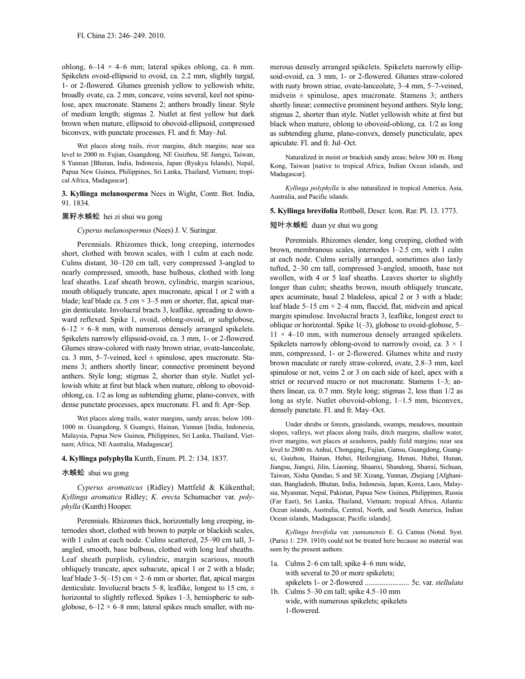oblong,  $6-14 \times 4-6$  mm; lateral spikes oblong, ca. 6 mm. Spikelets ovoid-ellipsoid to ovoid, ca. 2.2 mm, slightly turgid, 1- or 2-flowered. Glumes greenish yellow to yellowish white, broadly ovate, ca. 2 mm, concave, veins several, keel not spinulose, apex mucronate. Stamens 2; anthers broadly linear. Style of medium length; stigmas 2. Nutlet at first yellow but dark brown when mature, ellipsoid to obovoid-ellipsoid, compressed biconvex, with punctate processes. Fl. and fr. May–Jul.

Wet places along trails, river margins, ditch margins; near sea level to 2000 m. Fujian, Guangdong, NE Guizhou, SE Jiangxi, Taiwan, S Yunnan [Bhutan, India, Indonesia, Japan (Ryukyu Islands), Nepal, Papua New Guinea, Philippines, Sri Lanka, Thailand, Vietnam; tropical Africa, Madagascar].

**3. Kyllinga melanosperma** Nees in Wight, Contr. Bot. India, 91. 1834.

#### 黑籽水蜈蚣 hei zi shui wu gong

## *Cyperus melanospermus* (Nees) J. V. Suringar.

Perennials. Rhizomes thick, long creeping, internodes short, clothed with brown scales, with 1 culm at each node. Culms distant, 30–120 cm tall, very compressed 3-angled to nearly compressed, smooth, base bulbous, clothed with long leaf sheaths. Leaf sheath brown, cylindric, margin scarious, mouth obliquely truncate, apex mucronate, apical 1 or 2 with a blade; leaf blade ca. 5 cm  $\times$  3–5 mm or shorter, flat, apical margin denticulate. Involucral bracts 3, leaflike, spreading to downward reflexed. Spike 1, ovoid, oblong-ovoid, or subglobose,  $6-12 \times 6-8$  mm, with numerous densely arranged spikelets. Spikelets narrowly ellipsoid-ovoid, ca. 3 mm, 1- or 2-flowered. Glumes straw-colored with rusty brown striae, ovate-lanceolate, ca. 3 mm, 5–7-veined, keel  $\pm$  spinulose, apex mucronate. Stamens 3; anthers shortly linear; connective prominent beyond anthers. Style long; stigmas 2, shorter than style. Nutlet yellowish white at first but black when mature, oblong to obovoidoblong, ca. 1/2 as long as subtending glume, plano-convex, with dense punctate processes, apex mucronate. Fl. and fr. Apr–Sep.

Wet places along trails, water margins, sandy areas; below 100– 1000 m. Guangdong, S Guangxi, Hainan, Yunnan [India, Indonesia, Malaysia, Papua New Guinea, Philippines, Sri Lanka, Thailand, Vietnam; Africa, NE Australia, Madagascar].

#### **4. Kyllinga polyphylla** Kunth, Enum. Pl. 2: 134. 1837.

#### 水蜈蚣 shui wu gong

*Cyperus aromaticus* (Ridley) Mattfeld & Kükenthal; *Kyllinga aromatica* Ridley; *K. erecta* Schumacher var. *polyphylla* (Kunth) Hooper.

Perennials. Rhizomes thick, horizontally long creeping, internodes short, clothed with brown to purple or blackish scales, with 1 culm at each node. Culms scattered, 25–90 cm tall, 3angled, smooth, base bulbous, clothed with long leaf sheaths. Leaf sheath purplish, cylindric, margin scarious, mouth obliquely truncate, apex subacute, apical 1 or 2 with a blade; leaf blade  $3-5(-15)$  cm  $\times$  2–6 mm or shorter, flat, apical margin denticulate. Involucral bracts 5–8, leaflike, longest to 15 cm,  $\pm$ horizontal to slightly reflexed. Spikes 1–3, hemispheric to subglobose,  $6-12 \times 6-8$  mm; lateral spikes much smaller, with numerous densely arranged spikelets. Spikelets narrowly ellipsoid-ovoid, ca. 3 mm, 1- or 2-flowered. Glumes straw-colored with rusty brown striae, ovate-lanceolate, 3–4 mm, 5–7-veined, midvein  $\pm$  spinulose, apex mucronate. Stamens 3; anthers shortly linear; connective prominent beyond anthers. Style long; stigmas 2, shorter than style. Nutlet yellowish white at first but black when mature, oblong to obovoid-oblong, ca. 1/2 as long as subtending glume, plano-convex, densely puncticulate, apex apiculate. Fl. and fr. Jul–Oct.

Naturalized in moist or brackish sandy areas; below 300 m. Hong Kong, Taiwan [native to tropical Africa, Indian Ocean islands, and Madagascar].

*Kyllinga polyphylla* is also naturalized in tropical America, Asia, Australia, and Pacific islands.

**5. Kyllinga brevifolia** Rottbøll, Descr. Icon. Rar. Pl. 13. 1773.

## 短叶水蜈蚣 duan ye shui wu gong

Perennials. Rhizomes slender, long creeping, clothed with brown, membranous scales, internodes 1–2.5 cm, with 1 culm at each node. Culms serially arranged, sometimes also laxly tufted, 2–30 cm tall, compressed 3-angled, smooth, base not swollen, with 4 or 5 leaf sheaths. Leaves shorter to slightly longer than culm; sheaths brown, mouth obliquely truncate, apex acuminate, basal 2 bladeless, apical 2 or 3 with a blade; leaf blade 5–15 cm  $\times$  2–4 mm, flaccid, flat, midvein and apical margin spinulose. Involucral bracts 3, leaflike, longest erect to oblique or horizontal. Spike 1(–3), globose to ovoid-globose, 5–  $11 \times 4$ –10 mm, with numerous densely arranged spikelets. Spikelets narrowly oblong-ovoid to narrowly ovoid, ca.  $3 \times 1$ mm, compressed, 1- or 2-flowered. Glumes white and rusty brown maculate or rarely straw-colored, ovate, 2.8–3 mm, keel spinulose or not, veins 2 or 3 on each side of keel, apex with a strict or recurved mucro or not mucronate. Stamens 1–3; anthers linear, ca. 0.7 mm. Style long; stigmas 2, less than 1/2 as long as style. Nutlet obovoid-oblong, 1–1.5 mm, biconvex, densely punctate. Fl. and fr. May–Oct.

Under shrubs or forests, grasslands, swamps, meadows, mountain slopes, valleys, wet places along trails, ditch margins, shallow water, river margins, wet places at seashores, paddy field margins; near sea level to 2800 m. Anhui, Chongqing, Fujian, Gansu, Guangdong, Guangxi, Guizhou, Hainan, Hebei, Heilongjiang, Henan, Hubei, Hunan, Jiangsu, Jiangxi, Jilin, Liaoning, Shaanxi, Shandong, Shanxi, Sichuan, Taiwan, Xisha Qundao, S and SE Xizang, Yunnan, Zhejiang [Afghanistan, Bangladesh, Bhutan, India, Indonesia, Japan, Korea, Laos, Malaysia, Myanmar, Nepal, Pakistan, Papua New Guinea, Philippines, Russia (Far East), Sri Lanka, Thailand, Vietnam; tropical Africa, Atlantic Ocean islands, Australia, Central, North, and South America, Indian Ocean islands, Madagascar, Pacific islands].

*Kyllinga brevifolia* var. *yunnanensis* E. G. Camus (Notul. Syst. (Paris) 1: 239. 1910) could not be treated here because no material was seen by the present authors.

- 1a. Culms 2–6 cm tall; spike 4–6 mm wide, with several to 20 or more spikelets; spikelets 1- or 2-flowered ........................ 5c. var. *stellulata*
- 1b. Culms 5–30 cm tall; spike 4.5–10 mm wide, with numerous spikelets; spikelets 1-flowered.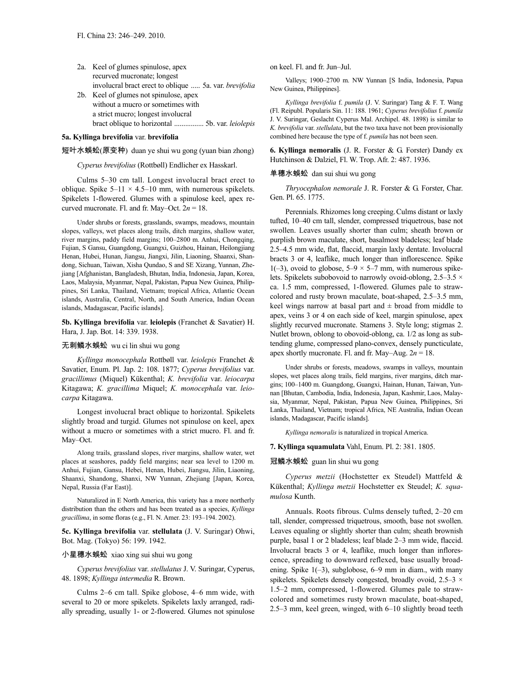| 2a. Keel of glumes spinulose, apex                     |
|--------------------------------------------------------|
| recurved mucronate; longest                            |
| involucral bract erect to oblique  5a. var. brevifolia |
| 2b. Keel of glumes not spinulose, apex                 |

without a mucro or sometimes with a strict mucro; longest involucral bract oblique to horizontal ................ 5b. var. *leiolepis*

## **5a. Kyllinga brevifolia** var. **brevifolia**

### 短叶水蜈蚣(原变种) duan ye shui wu gong (yuan bian zhong)

*Cyperus brevifolius* (Rottbøll) Endlicher ex Hasskarl.

Culms 5–30 cm tall. Longest involucral bract erect to oblique. Spike  $5-11 \times 4.5-10$  mm, with numerous spikelets. Spikelets 1-flowered. Glumes with a spinulose keel, apex recurved mucronate. Fl. and fr. May–Oct.  $2n = 18$ .

Under shrubs or forests, grasslands, swamps, meadows, mountain slopes, valleys, wet places along trails, ditch margins, shallow water, river margins, paddy field margins; 100–2800 m. Anhui, Chongqing, Fujian, S Gansu, Guangdong, Guangxi, Guizhou, Hainan, Heilongjiang Henan, Hubei, Hunan, Jiangsu, Jiangxi, Jilin, Liaoning, Shaanxi, Shandong, Sichuan, Taiwan, Xisha Qundao, S and SE Xizang, Yunnan, Zhejiang [Afghanistan, Bangladesh, Bhutan, India, Indonesia, Japan, Korea, Laos, Malaysia, Myanmar, Nepal, Pakistan, Papua New Guinea, Philippines, Sri Lanka, Thailand, Vietnam; tropical Africa, Atlantic Ocean islands, Australia, Central, North, and South America, Indian Ocean islands, Madagascar, Pacific islands].

**5b. Kyllinga brevifolia** var. **leiolepis** (Franchet & Savatier) H. Hara, J. Jap. Bot. 14: 339. 1938.

## 无刺鳞水蜈蚣 wu ci lin shui wu gong

*Kyllinga monocephala* Rottbøll var. *leiolepis* Franchet & Savatier, Enum. Pl. Jap. 2: 108. 1877; *Cyperus brevifolius* var. *gracillimus* (Miquel) Kükenthal; *K. brevifolia* var. *leiocarpa* Kitagawa; *K. gracillima* Miquel; *K. monocephala* var. *leiocarpa* Kitagawa.

Longest involucral bract oblique to horizontal. Spikelets slightly broad and turgid. Glumes not spinulose on keel, apex without a mucro or sometimes with a strict mucro. Fl. and fr. May–Oct.

Along trails, grassland slopes, river margins, shallow water, wet places at seashores, paddy field margins; near sea level to 1200 m. Anhui, Fujian, Gansu, Hebei, Henan, Hubei, Jiangsu, Jilin, Liaoning, Shaanxi, Shandong, Shanxi, NW Yunnan, Zhejiang [Japan, Korea, Nepal, Russia (Far East)].

Naturalized in E North America, this variety has a more northerly distribution than the others and has been treated as a species, *Kyllinga gracillima*, in some floras (e.g., Fl. N. Amer. 23: 193–194. 2002).

**5c. Kyllinga brevifolia** var. **stellulata** (J. V. Suringar) Ohwi, Bot. Mag. (Tokyo) 56: 199. 1942.

## 小星穗水蜈蚣 xiao xing sui shui wu gong

*Cyperus brevifolius* var. *stellulatus* J. V. Suringar, Cyperus, 48. 1898; *Kyllinga intermedia* R. Brown.

Culms 2–6 cm tall. Spike globose, 4–6 mm wide, with several to 20 or more spikelets. Spikelets laxly arranged, radially spreading, usually 1- or 2-flowered. Glumes not spinulose on keel. Fl. and fr. Jun–Jul.

Valleys; 1900–2700 m. NW Yunnan [S India, Indonesia, Papua New Guinea, Philippines].

*Kyllinga brevifolia* f. *pumila* (J. V. Suringar) Tang & F. T. Wang (Fl. Reipubl. Popularis Sin. 11: 188. 1961; *Cyperus brevifolius* f. *pumila* J. V. Suringar, Geslacht Cyperus Mal. Archipel. 48. 1898) is similar to *K. brevifolia* var. *stellulata*, but the two taxa have not been provisionally combined here because the type of f. *pumila* has not been seen.

**6. Kyllinga nemoralis** (J. R. Forster & G. Forster) Dandy ex Hutchinson & Dalziel, Fl. W. Trop. Afr. 2: 487. 1936.

### 单穗水蜈蚣 dan sui shui wu gong

*Thryocephalon nemorale* J. R. Forster & G. Forster, Char. Gen. Pl. 65. 1775.

Perennials. Rhizomes long creeping.Culms distant or laxly tufted, 10–40 cm tall, slender, compressed triquetrous, base not swollen. Leaves usually shorter than culm; sheath brown or purplish brown maculate, short, basalmost bladeless; leaf blade 2.5–4.5 mm wide, flat, flaccid, margin laxly dentate. Involucral bracts 3 or 4, leaflike, much longer than inflorescence. Spike 1(-3), ovoid to globose,  $5-9 \times 5-7$  mm, with numerous spikelets. Spikelets subobovoid to narrowly ovoid-oblong, 2.5–3.5  $\times$ ca. 1.5 mm, compressed, 1-flowered. Glumes pale to strawcolored and rusty brown maculate, boat-shaped, 2.5–3.5 mm, keel wings narrow at basal part and  $\pm$  broad from middle to apex, veins 3 or 4 on each side of keel, margin spinulose, apex slightly recurved mucronate. Stamens 3. Style long; stigmas 2. Nutlet brown, oblong to obovoid-oblong, ca. 1/2 as long as subtending glume, compressed plano-convex, densely puncticulate, apex shortly mucronate. Fl. and fr. May–Aug. 2*n* = 18.

Under shrubs or forests, meadows, swamps in valleys, mountain slopes, wet places along trails, field margins, river margins, ditch margins; 100–1400 m. Guangdong, Guangxi, Hainan, Hunan, Taiwan, Yunnan [Bhutan, Cambodia, India, Indonesia, Japan, Kashmir, Laos, Malaysia, Myanmar, Nepal, Pakistan, Papua New Guinea, Philippines, Sri Lanka, Thailand, Vietnam; tropical Africa, NE Australia, Indian Ocean islands, Madagascar, Pacific islands].

*Kyllinga nemoralis* is naturalized in tropical America.

**7. Kyllinga squamulata** Vahl, Enum. Pl. 2: 381. 1805.

## 冠鳞水蜈蚣 guan lin shui wu gong

*Cyperus metzii* (Hochstetter ex Steudel) Mattfeld & Kükenthal; *Kyllinga metzii* Hochstetter ex Steudel; *K. squamulosa* Kunth.

Annuals. Roots fibrous. Culms densely tufted, 2–20 cm tall, slender, compressed triquetrous, smooth, base not swollen. Leaves equaling or slightly shorter than culm; sheath brownish purple, basal 1 or 2 bladeless; leaf blade 2–3 mm wide, flaccid. Involucral bracts 3 or 4, leaflike, much longer than inflorescence, spreading to downward reflexed, base usually broadening. Spike  $1(-3)$ , subglobose, 6–9 mm in diam., with many spikelets. Spikelets densely congested, broadly ovoid, 2.5–3  $\times$ 1.5–2 mm, compressed, 1-flowered. Glumes pale to strawcolored and sometimes rusty brown maculate, boat-shaped, 2.5–3 mm, keel green, winged, with 6–10 slightly broad teeth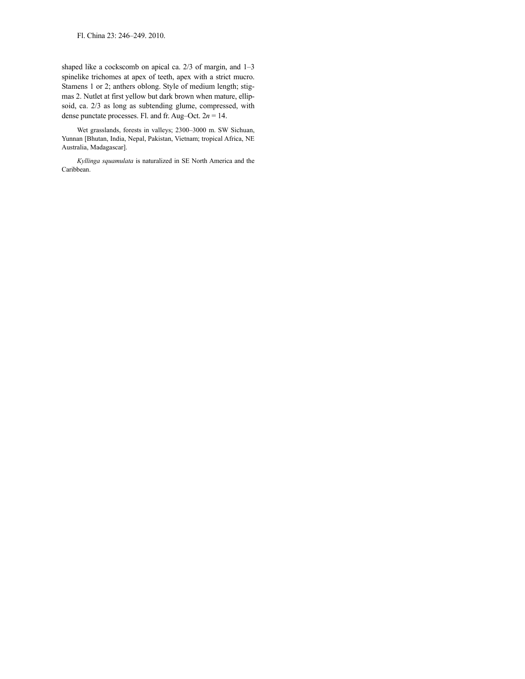Fl. China 23: 246–249. 2010.

shaped like a cockscomb on apical ca. 2/3 of margin, and 1–3 spinelike trichomes at apex of teeth, apex with a strict mucro. Stamens 1 or 2; anthers oblong. Style of medium length; stigmas 2. Nutlet at first yellow but dark brown when mature, ellipsoid, ca. 2/3 as long as subtending glume, compressed, with dense punctate processes. Fl. and fr. Aug–Oct. 2*n* = 14.

Wet grasslands, forests in valleys; 2300–3000 m. SW Sichuan, Yunnan [Bhutan, India, Nepal, Pakistan, Vietnam; tropical Africa, NE Australia, Madagascar].

*Kyllinga squamulata* is naturalized in SE North America and the Caribbean.